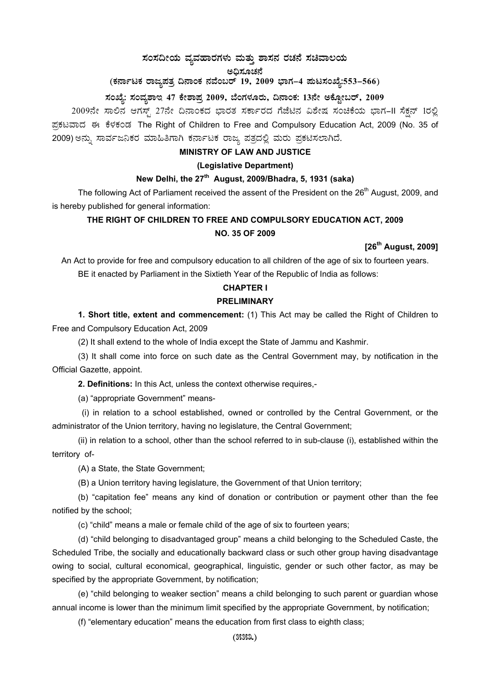# $\,$ ಸಂಸದೀಯ ವ್ಯವಹಾರಗಳು ಮತ್ತು ಶಾಸನ ರಚನೆ ಸಚಿವಾಲಯ

# ಅಧಿಸೂಚನೆ

# (ಕರ್ನಾಟಕ ರಾಜ್ಯಪತ್ರ ದಿನಾಂಕ ನವೆಂಬರ್ 19, 2009 ಭಾಗ–4 **ಪುಟಸಂಖ್ಯೆ:553–566**)

# ಸಂಖ್ಯೆ: ಸಂವ್ಯಶಾಇ 47 ಕೇಶಾಪ್ರ 2009, ಬೆಂಗಳೂರು, ದಿನಾಂಕ: 13ನೇ ಅಕ್ಟೋಬರ್, 2009

2009ನೇ ಸಾಲಿನ ಆಗಸ್ಟ್ 27ನೇ ದಿನಾಂಕದ ಭಾರತ ಸರ್ಕಾರದ ಗೆಜೆಟಿನ ವಿಶೇಷ ಸಂಚಿಕೆಯ ಭಾಗ–II ಸೆಕ್ಷನ್ 1ರಲ್ಲಿ ಪ್ರಕಟವಾದ ಈ ಕೆಳಕಂಡ The Right of Children to Free and Compulsory Education Act, 2009 (No. 35 of 2009) ಅನ್ನು ಸಾರ್ವಜನಿಕರ ಮಾಹಿತಿಗಾಗಿ ಕರ್ನಾಟಕ ರಾಜ್ಯ ಪತ್ರದಲ್ಲಿ ಮರು ಪ್ರಕಟಿಸಲಾಗಿದೆ.

# **MINISTRY OF LAW AND JUSTICE**

### **(Legislative Department)**

# **New Delhi, the 27th August, 2009/Bhadra, 5, 1931 (saka)**

The following Act of Parliament received the assent of the President on the 26<sup>th</sup> August, 2009, and is hereby published for general information:

# **THE RIGHT OF CHILDREN TO FREE AND COMPULSORY EDUCATION ACT, 2009 NO. 35 OF 2009**

# **[26th August, 2009]**

An Act to provide for free and compulsory education to all children of the age of six to fourteen years. BE it enacted by Parliament in the Sixtieth Year of the Republic of India as follows:

#### **CHAPTER I**

### **PRELIMINARY**

**1. Short title, extent and commencement:** (1) This Act may be called the Right of Children to Free and Compulsory Education Act, 2009

(2) It shall extend to the whole of India except the State of Jammu and Kashmir.

(3) It shall come into force on such date as the Central Government may, by notification in the Official Gazette, appoint.

**2. Definitions:** In this Act, unless the context otherwise requires,-

(a) "appropriate Government" means-

 (i) in relation to a school established, owned or controlled by the Central Government, or the administrator of the Union territory, having no legislature, the Central Government;

(ii) in relation to a school, other than the school referred to in sub-clause (i), established within the territory of-

(A) a State, the State Government;

(B) a Union territory having legislature, the Government of that Union territory;

(b) "capitation fee" means any kind of donation or contribution or payment other than the fee notified by the school;

(c) "child" means a male or female child of the age of six to fourteen years;

(d) "child belonging to disadvantaged group" means a child belonging to the Scheduled Caste, the Scheduled Tribe, the socially and educationally backward class or such other group having disadvantage owing to social, cultural economical, geographical, linguistic, gender or such other factor, as may be specified by the appropriate Government, by notification;

(e) "child belonging to weaker section" means a child belonging to such parent or guardian whose annual income is lower than the minimum limit specified by the appropriate Government, by notification;

(f) "elementary education" means the education from first class to eighth class;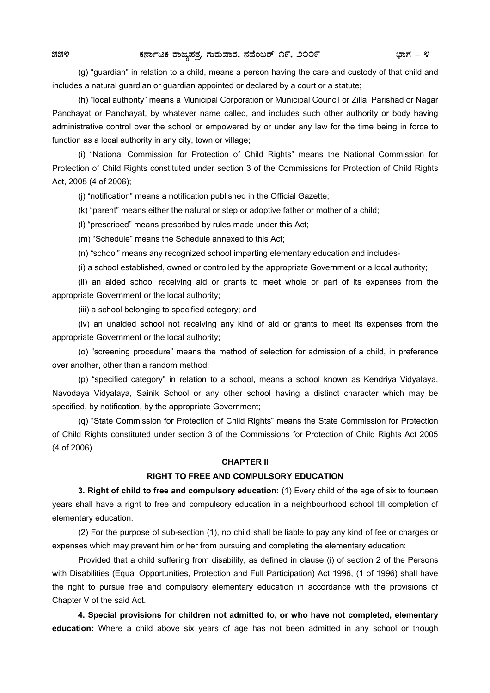(g) "guardian" in relation to a child, means a person having the care and custody of that child and includes a natural guardian or guardian appointed or declared by a court or a statute;

 (h) "local authority" means a Municipal Corporation or Municipal Council or Zilla Parishad or Nagar Panchayat or Panchayat, by whatever name called, and includes such other authority or body having administrative control over the school or empowered by or under any law for the time being in force to function as a local authority in any city, town or village;

 (i) "National Commission for Protection of Child Rights" means the National Commission for Protection of Child Rights constituted under section 3 of the Commissions for Protection of Child Rights Act, 2005 (4 of 2006);

(j) "notification" means a notification published in the Official Gazette;

(k) "parent" means either the natural or step or adoptive father or mother of a child;

(l) "prescribed" means prescribed by rules made under this Act;

(m) "Schedule" means the Schedule annexed to this Act;

(n) "school" means any recognized school imparting elementary education and includes-

(i) a school established, owned or controlled by the appropriate Government or a local authority;

 (ii) an aided school receiving aid or grants to meet whole or part of its expenses from the appropriate Government or the local authority;

(iii) a school belonging to specified category; and

 (iv) an unaided school not receiving any kind of aid or grants to meet its expenses from the appropriate Government or the local authority;

 (o) "screening procedure" means the method of selection for admission of a child, in preference over another, other than a random method;

 (p) "specified category" in relation to a school, means a school known as Kendriya Vidyalaya, Navodaya Vidyalaya, Sainik School or any other school having a distinct character which may be specified, by notification, by the appropriate Government;

 (q) "State Commission for Protection of Child Rights" means the State Commission for Protection of Child Rights constituted under section 3 of the Commissions for Protection of Child Rights Act 2005 (4 of 2006).

#### **CHAPTER II**

### **RIGHT TO FREE AND COMPULSORY EDUCATION**

**3. Right of child to free and compulsory education:** (1) Every child of the age of six to fourteen years shall have a right to free and compulsory education in a neighbourhood school till completion of elementary education.

 (2) For the purpose of sub-section (1), no child shall be liable to pay any kind of fee or charges or expenses which may prevent him or her from pursuing and completing the elementary education:

 Provided that a child suffering from disability, as defined in clause (i) of section 2 of the Persons with Disabilities (Equal Opportunities, Protection and Full Participation) Act 1996, (1 of 1996) shall have the right to pursue free and compulsory elementary education in accordance with the provisions of Chapter V of the said Act.

**4. Special provisions for children not admitted to, or who have not completed, elementary education:** Where a child above six years of age has not been admitted in any school or though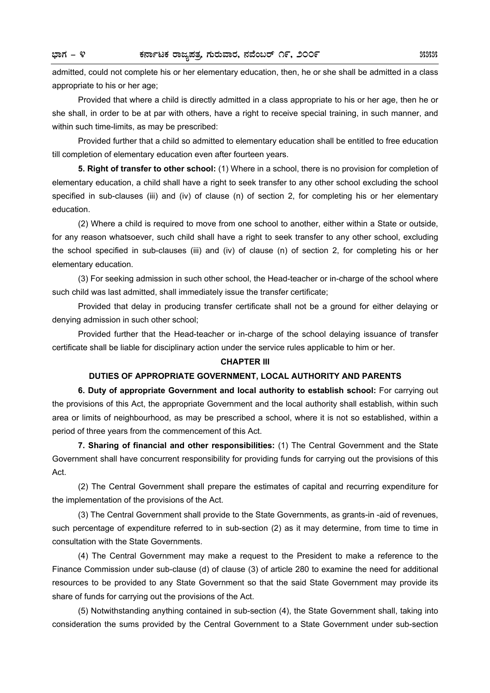admitted, could not complete his or her elementary education, then, he or she shall be admitted in a class appropriate to his or her age;

 Provided that where a child is directly admitted in a class appropriate to his or her age, then he or she shall, in order to be at par with others, have a right to receive special training, in such manner, and within such time-limits, as may be prescribed:

 Provided further that a child so admitted to elementary education shall be entitled to free education till completion of elementary education even after fourteen years.

**5. Right of transfer to other school:** (1) Where in a school, there is no provision for completion of elementary education, a child shall have a right to seek transfer to any other school excluding the school specified in sub-clauses (iii) and (iv) of clause (n) of section 2, for completing his or her elementary education.

 (2) Where a child is required to move from one school to another, either within a State or outside, for any reason whatsoever, such child shall have a right to seek transfer to any other school, excluding the school specified in sub-clauses (iii) and (iv) of clause (n) of section 2, for completing his or her elementary education.

 (3) For seeking admission in such other school, the Head-teacher or in-charge of the school where such child was last admitted, shall immediately issue the transfer certificate;

 Provided that delay in producing transfer certificate shall not be a ground for either delaying or denying admission in such other school;

 Provided further that the Head-teacher or in-charge of the school delaying issuance of transfer certificate shall be liable for disciplinary action under the service rules applicable to him or her.

#### **CHAPTER III**

#### **DUTIES OF APPROPRIATE GOVERNMENT, LOCAL AUTHORITY AND PARENTS**

 **6. Duty of appropriate Government and local authority to establish school:** For carrying out the provisions of this Act, the appropriate Government and the local authority shall establish, within such area or limits of neighbourhood, as may be prescribed a school, where it is not so established, within a period of three years from the commencement of this Act.

**7. Sharing of financial and other responsibilities:** (1) The Central Government and the State Government shall have concurrent responsibility for providing funds for carrying out the provisions of this Act.

 (2) The Central Government shall prepare the estimates of capital and recurring expenditure for the implementation of the provisions of the Act.

 (3) The Central Government shall provide to the State Governments, as grants-in -aid of revenues, such percentage of expenditure referred to in sub-section (2) as it may determine, from time to time in consultation with the State Governments.

 (4) The Central Government may make a request to the President to make a reference to the Finance Commission under sub-clause (d) of clause (3) of article 280 to examine the need for additional resources to be provided to any State Government so that the said State Government may provide its share of funds for carrying out the provisions of the Act.

 (5) Notwithstanding anything contained in sub-section (4), the State Government shall, taking into consideration the sums provided by the Central Government to a State Government under sub-section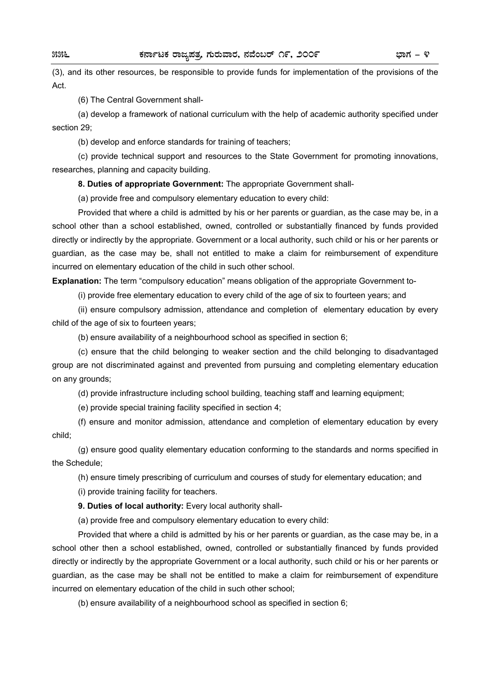(3), and its other resources, be responsible to provide funds for implementation of the provisions of the Act.

(6) The Central Government shall-

 (a) develop a framework of national curriculum with the help of academic authority specified under section 29;

(b) develop and enforce standards for training of teachers;

 (c) provide technical support and resources to the State Government for promoting innovations, researches, planning and capacity building.

**8. Duties of appropriate Government:** The appropriate Government shall-

(a) provide free and compulsory elementary education to every child:

 Provided that where a child is admitted by his or her parents or guardian, as the case may be, in a school other than a school established, owned, controlled or substantially financed by funds provided directly or indirectly by the appropriate. Government or a local authority, such child or his or her parents or guardian, as the case may be, shall not entitled to make a claim for reimbursement of expenditure incurred on elementary education of the child in such other school.

**Explanation:** The term "compulsory education" means obligation of the appropriate Government to-

(i) provide free elementary education to every child of the age of six to fourteen years; and

 (ii) ensure compulsory admission, attendance and completion of elementary education by every child of the age of six to fourteen years;

(b) ensure availability of a neighbourhood school as specified in section 6;

 (c) ensure that the child belonging to weaker section and the child belonging to disadvantaged group are not discriminated against and prevented from pursuing and completing elementary education on any grounds;

(d) provide infrastructure including school building, teaching staff and learning equipment;

(e) provide special training facility specified in section 4;

 (f) ensure and monitor admission, attendance and completion of elementary education by every child;

 (g) ensure good quality elementary education conforming to the standards and norms specified in the Schedule;

(h) ensure timely prescribing of curriculum and courses of study for elementary education; and

(i) provide training facility for teachers.

**9. Duties of local authority:** Every local authority shall-

(a) provide free and compulsory elementary education to every child:

 Provided that where a child is admitted by his or her parents or guardian, as the case may be, in a school other then a school established, owned, controlled or substantially financed by funds provided directly or indirectly by the appropriate Government or a local authority, such child or his or her parents or guardian, as the case may be shall not be entitled to make a claim for reimbursement of expenditure incurred on elementary education of the child in such other school;

(b) ensure availability of a neighbourhood school as specified in section 6;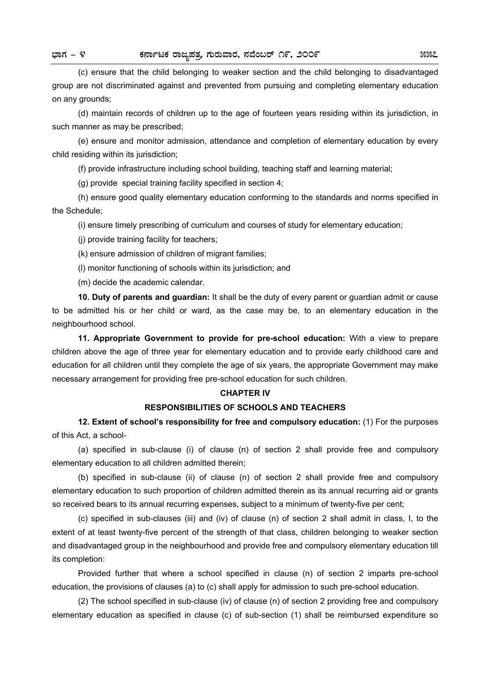(c) ensure that the child belonging to weaker section and the child belonging to disadvantaged group are not discriminated against and prevented from pursuing and completing elementary education on any grounds;

 (d) maintain records of children up to the age of fourteen years residing within its jurisdiction, in such manner as may be prescribed;

 (e) ensure and monitor admission, attendance and completion of elementary education by every child residing within its jurisdiction;

(f) provide infrastructure including school building, teaching staff and learning material;

(g) provide special training facility specified in section 4;

 (h) ensure good quality elementary education conforming to the standards and norms specified in the Schedule;

(i) ensure timely prescribing of curriculum and courses of study for elementary education;

(j) provide training facility for teachers;

(k) ensure admission of children of migrant families;

(l) monitor functioning of schools within its jurisdiction; and

(m) decide the academic calendar.

**10. Duty of parents and guardian:** It shall be the duty of every parent or guardian admit or cause to be admitted his or her child or ward, as the case may be, to an elementary education in the neighbourhood school.

**11. Appropriate Government to provide for pre-school education:** With a view to prepare children above the age of three year for elementary education and to provide early childhood care and education for all children until they complete the age of six years, the appropriate Government may make necessary arrangement for providing free pre-school education for such children.

### **CHAPTER IV**

### **RESPONSIBILITIES OF SCHOOLS AND TEACHERS**

**12. Extent of school's responsibility for free and compulsory education:** (1) For the purposes of this Act, a school-

 (a) specified in sub-clause (i) of clause (n) of section 2 shall provide free and compulsory elementary education to all children admitted therein;

 (b) specified in sub-clause (ii) of clause (n) of section 2 shall provide free and compulsory elementary education to such proportion of children admitted therein as its annual recurring aid or grants so received bears to its annual recurring expenses, subject to a minimum of twenty-five per cent;

 (c) specified in sub-clauses (iii) and (iv) of clause (n) of section 2 shall admit in class, I, to the extent of at least twenty-five percent of the strength of that class, children belonging to weaker section and disadvantaged group in the neighbourhood and provide free and compulsory elementary education till its completion:

 Provided further that where a school specified in clause (n) of section 2 imparts pre-school education, the provisions of clauses (a) to (c) shall apply for admission to such pre-school education.

 (2) The school specified in sub-clause (iv) of clause (n) of section 2 providing free and compulsory elementary education as specified in clause (c) of sub-section (1) shall be reimbursed expenditure so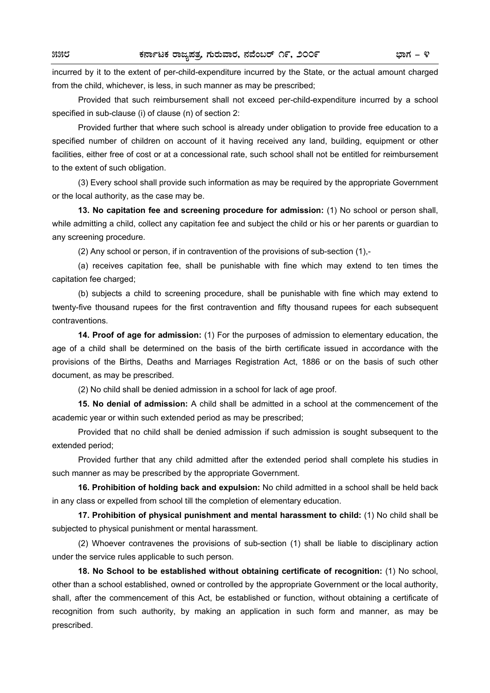incurred by it to the extent of per-child-expenditure incurred by the State, or the actual amount charged from the child, whichever, is less, in such manner as may be prescribed;

 Provided that such reimbursement shall not exceed per-child-expenditure incurred by a school specified in sub-clause (i) of clause (n) of section 2:

 Provided further that where such school is already under obligation to provide free education to a specified number of children on account of it having received any land, building, equipment or other facilities, either free of cost or at a concessional rate, such school shall not be entitled for reimbursement to the extent of such obligation.

 (3) Every school shall provide such information as may be required by the appropriate Government or the local authority, as the case may be.

**13. No capitation fee and screening procedure for admission:** (1) No school or person shall, while admitting a child, collect any capitation fee and subject the child or his or her parents or guardian to any screening procedure.

(2) Any school or person, if in contravention of the provisions of sub-section (1),-

 (a) receives capitation fee, shall be punishable with fine which may extend to ten times the capitation fee charged;

 (b) subjects a child to screening procedure, shall be punishable with fine which may extend to twenty-five thousand rupees for the first contravention and fifty thousand rupees for each subsequent contraventions.

**14. Proof of age for admission:** (1) For the purposes of admission to elementary education, the age of a child shall be determined on the basis of the birth certificate issued in accordance with the provisions of the Births, Deaths and Marriages Registration Act, 1886 or on the basis of such other document, as may be prescribed.

(2) No child shall be denied admission in a school for lack of age proof.

**15. No denial of admission:** A child shall be admitted in a school at the commencement of the academic year or within such extended period as may be prescribed;

 Provided that no child shall be denied admission if such admission is sought subsequent to the extended period;

 Provided further that any child admitted after the extended period shall complete his studies in such manner as may be prescribed by the appropriate Government.

**16. Prohibition of holding back and expulsion:** No child admitted in a school shall be held back in any class or expelled from school till the completion of elementary education.

**17. Prohibition of physical punishment and mental harassment to child:** (1) No child shall be subjected to physical punishment or mental harassment.

 (2) Whoever contravenes the provisions of sub-section (1) shall be liable to disciplinary action under the service rules applicable to such person.

**18. No School to be established without obtaining certificate of recognition:** (1) No school, other than a school established, owned or controlled by the appropriate Government or the local authority, shall, after the commencement of this Act, be established or function, without obtaining a certificate of recognition from such authority, by making an application in such form and manner, as may be prescribed.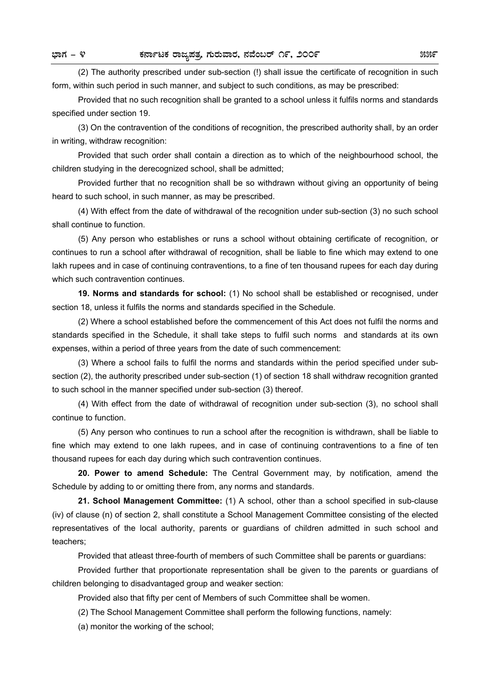(2) The authority prescribed under sub-section (!) shall issue the certificate of recognition in such form, within such period in such manner, and subject to such conditions, as may be prescribed:

 Provided that no such recognition shall be granted to a school unless it fulfils norms and standards specified under section 19.

 (3) On the contravention of the conditions of recognition, the prescribed authority shall, by an order in writing, withdraw recognition:

 Provided that such order shall contain a direction as to which of the neighbourhood school, the children studying in the derecognized school, shall be admitted;

 Provided further that no recognition shall be so withdrawn without giving an opportunity of being heard to such school, in such manner, as may be prescribed.

 (4) With effect from the date of withdrawal of the recognition under sub-section (3) no such school shall continue to function.

 (5) Any person who establishes or runs a school without obtaining certificate of recognition, or continues to run a school after withdrawal of recognition, shall be liable to fine which may extend to one lakh rupees and in case of continuing contraventions, to a fine of ten thousand rupees for each day during which such contravention continues.

**19. Norms and standards for school:** (1) No school shall be established or recognised, under section 18, unless it fulfils the norms and standards specified in the Schedule.

 (2) Where a school established before the commencement of this Act does not fulfil the norms and standards specified in the Schedule, it shall take steps to fulfil such norms and standards at its own expenses, within a period of three years from the date of such commencement:

 (3) Where a school fails to fulfil the norms and standards within the period specified under subsection (2), the authority prescribed under sub-section (1) of section 18 shall withdraw recognition granted to such school in the manner specified under sub-section (3) thereof.

 (4) With effect from the date of withdrawal of recognition under sub-section (3), no school shall continue to function.

 (5) Any person who continues to run a school after the recognition is withdrawn, shall be liable to fine which may extend to one lakh rupees, and in case of continuing contraventions to a fine of ten thousand rupees for each day during which such contravention continues.

**20. Power to amend Schedule:** The Central Government may, by notification, amend the Schedule by adding to or omitting there from, any norms and standards.

**21. School Management Committee:** (1) A school, other than a school specified in sub-clause (iv) of clause (n) of section 2, shall constitute a School Management Committee consisting of the elected representatives of the local authority, parents or guardians of children admitted in such school and teachers;

Provided that atleast three-fourth of members of such Committee shall be parents or guardians:

 Provided further that proportionate representation shall be given to the parents or guardians of children belonging to disadvantaged group and weaker section:

Provided also that fifty per cent of Members of such Committee shall be women.

(2) The School Management Committee shall perform the following functions, namely:

(a) monitor the working of the school;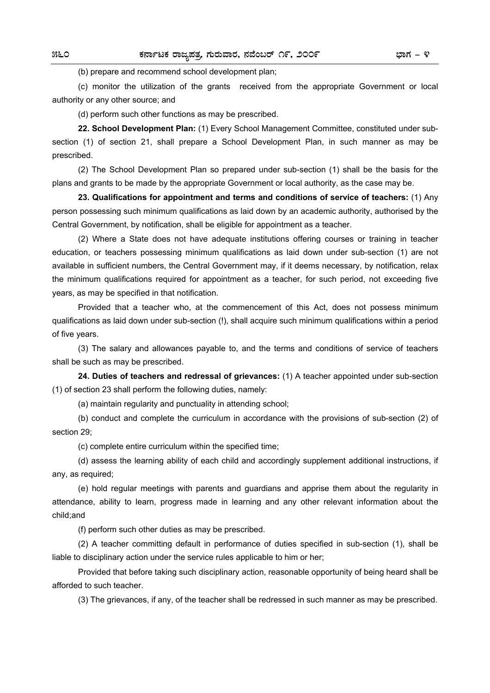(b) prepare and recommend school development plan;

 (c) monitor the utilization of the grants received from the appropriate Government or local authority or any other source; and

(d) perform such other functions as may be prescribed.

**22. School Development Plan:** (1) Every School Management Committee, constituted under subsection (1) of section 21, shall prepare a School Development Plan, in such manner as may be prescribed.

 (2) The School Development Plan so prepared under sub-section (1) shall be the basis for the plans and grants to be made by the appropriate Government or local authority, as the case may be.

**23. Qualifications for appointment and terms and conditions of service of teachers:** (1) Any person possessing such minimum qualifications as laid down by an academic authority, authorised by the Central Government, by notification, shall be eligible for appointment as a teacher.

 (2) Where a State does not have adequate institutions offering courses or training in teacher education, or teachers possessing minimum qualifications as laid down under sub-section (1) are not available in sufficient numbers, the Central Government may, if it deems necessary, by notification, relax the minimum qualifications required for appointment as a teacher, for such period, not exceeding five years, as may be specified in that notification.

 Provided that a teacher who, at the commencement of this Act, does not possess minimum qualifications as laid down under sub-section (!), shall acquire such minimum qualifications within a period of five years.

 (3) The salary and allowances payable to, and the terms and conditions of service of teachers shall be such as may be prescribed.

**24. Duties of teachers and redressal of grievances:** (1) A teacher appointed under sub-section (1) of section 23 shall perform the following duties, namely:

(a) maintain regularity and punctuality in attending school;

 (b) conduct and complete the curriculum in accordance with the provisions of sub-section (2) of section 29;

(c) complete entire curriculum within the specified time;

 (d) assess the learning ability of each child and accordingly supplement additional instructions, if any, as required;

 (e) hold regular meetings with parents and guardians and apprise them about the regularity in attendance, ability to learn, progress made in learning and any other relevant information about the child;and

(f) perform such other duties as may be prescribed.

 (2) A teacher committing default in performance of duties specified in sub-section (1), shall be liable to disciplinary action under the service rules applicable to him or her;

 Provided that before taking such disciplinary action, reasonable opportunity of being heard shall be afforded to such teacher.

(3) The grievances, if any, of the teacher shall be redressed in such manner as may be prescribed.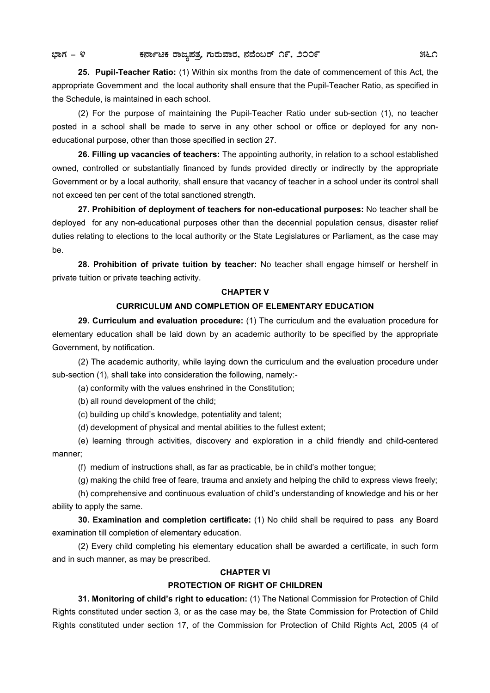**25. Pupil-Teacher Ratio:** (1) Within six months from the date of commencement of this Act, the appropriate Government and the local authority shall ensure that the Pupil-Teacher Ratio, as specified in the Schedule, is maintained in each school.

 (2) For the purpose of maintaining the Pupil-Teacher Ratio under sub-section (1), no teacher posted in a school shall be made to serve in any other school or office or deployed for any noneducational purpose, other than those specified in section 27.

**26. Filling up vacancies of teachers:** The appointing authority, in relation to a school established owned, controlled or substantially financed by funds provided directly or indirectly by the appropriate Government or by a local authority, shall ensure that vacancy of teacher in a school under its control shall not exceed ten per cent of the total sanctioned strength.

**27. Prohibition of deployment of teachers for non-educational purposes:** No teacher shall be deployed for any non-educational purposes other than the decennial population census, disaster relief duties relating to elections to the local authority or the State Legislatures or Parliament, as the case may be.

**28. Prohibition of private tuition by teacher:** No teacher shall engage himself or hershelf in private tuition or private teaching activity.

#### **CHAPTER V**

## **CURRICULUM AND COMPLETION OF ELEMENTARY EDUCATION**

**29. Curriculum and evaluation procedure:** (1) The curriculum and the evaluation procedure for elementary education shall be laid down by an academic authority to be specified by the appropriate Government, by notification.

 (2) The academic authority, while laying down the curriculum and the evaluation procedure under sub-section (1), shall take into consideration the following, namely:-

(a) conformity with the values enshrined in the Constitution;

(b) all round development of the child;

(c) building up child's knowledge, potentiality and talent;

(d) development of physical and mental abilities to the fullest extent;

 (e) learning through activities, discovery and exploration in a child friendly and child-centered manner;

(f) medium of instructions shall, as far as practicable, be in child's mother tongue;

(g) making the child free of feare, trauma and anxiety and helping the child to express views freely;

 (h) comprehensive and continuous evaluation of child's understanding of knowledge and his or her ability to apply the same.

**30. Examination and completion certificate:** (1) No child shall be required to pass any Board examination till completion of elementary education.

 (2) Every child completing his elementary education shall be awarded a certificate, in such form and in such manner, as may be prescribed.

#### **CHAPTER VI**

#### **PROTECTION OF RIGHT OF CHILDREN**

**31. Monitoring of child's right to education:** (1) The National Commission for Protection of Child Rights constituted under section 3, or as the case may be, the State Commission for Protection of Child Rights constituted under section 17, of the Commission for Protection of Child Rights Act, 2005 (4 of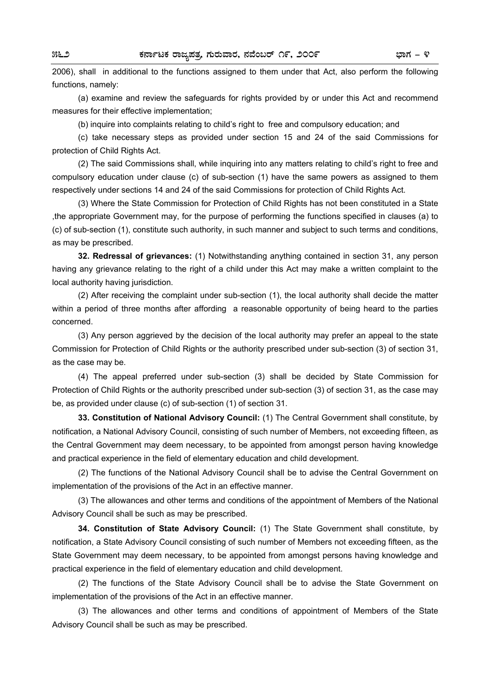2006), shall in additional to the functions assigned to them under that Act, also perform the following functions, namely:

 (a) examine and review the safeguards for rights provided by or under this Act and recommend measures for their effective implementation;

(b) inquire into complaints relating to child's right to free and compulsory education; and

 (c) take necessary steps as provided under section 15 and 24 of the said Commissions for protection of Child Rights Act.

 (2) The said Commissions shall, while inquiring into any matters relating to child's right to free and compulsory education under clause (c) of sub-section (1) have the same powers as assigned to them respectively under sections 14 and 24 of the said Commissions for protection of Child Rights Act.

 (3) Where the State Commission for Protection of Child Rights has not been constituted in a State ,the appropriate Government may, for the purpose of performing the functions specified in clauses (a) to (c) of sub-section (1), constitute such authority, in such manner and subject to such terms and conditions, as may be prescribed.

**32. Redressal of grievances:** (1) Notwithstanding anything contained in section 31, any person having any grievance relating to the right of a child under this Act may make a written complaint to the local authority having jurisdiction.

 (2) After receiving the complaint under sub-section (1), the local authority shall decide the matter within a period of three months after affording a reasonable opportunity of being heard to the parties concerned.

 (3) Any person aggrieved by the decision of the local authority may prefer an appeal to the state Commission for Protection of Child Rights or the authority prescribed under sub-section (3) of section 31, as the case may be.

 (4) The appeal preferred under sub-section (3) shall be decided by State Commission for Protection of Child Rights or the authority prescribed under sub-section (3) of section 31, as the case may be, as provided under clause (c) of sub-section (1) of section 31.

**33. Constitution of National Advisory Council:** (1) The Central Government shall constitute, by notification, a National Advisory Council, consisting of such number of Members, not exceeding fifteen, as the Central Government may deem necessary, to be appointed from amongst person having knowledge and practical experience in the field of elementary education and child development.

 (2) The functions of the National Advisory Council shall be to advise the Central Government on implementation of the provisions of the Act in an effective manner.

 (3) The allowances and other terms and conditions of the appointment of Members of the National Advisory Council shall be such as may be prescribed.

**34. Constitution of State Advisory Council:** (1) The State Government shall constitute, by notification, a State Advisory Council consisting of such number of Members not exceeding fifteen, as the State Government may deem necessary, to be appointed from amongst persons having knowledge and practical experience in the field of elementary education and child development.

 (2) The functions of the State Advisory Council shall be to advise the State Government on implementation of the provisions of the Act in an effective manner.

 (3) The allowances and other terms and conditions of appointment of Members of the State Advisory Council shall be such as may be prescribed.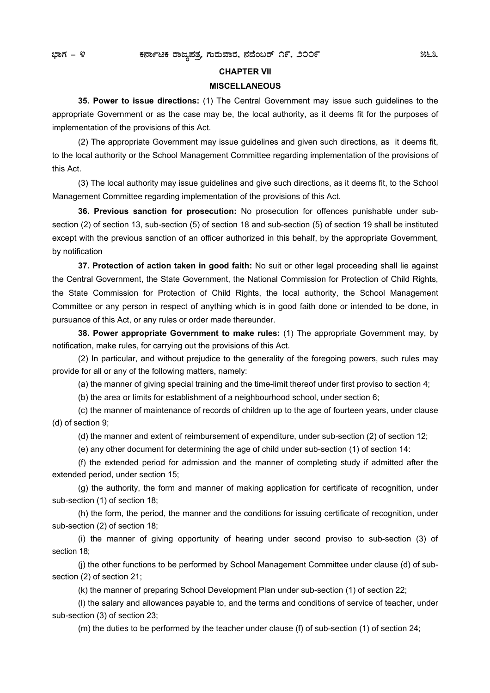#### **CHAPTER VII**

#### **MISCELLANEOUS**

 **35. Power to issue directions:** (1) The Central Government may issue such guidelines to the appropriate Government or as the case may be, the local authority, as it deems fit for the purposes of implementation of the provisions of this Act.

 (2) The appropriate Government may issue guidelines and given such directions, as it deems fit, to the local authority or the School Management Committee regarding implementation of the provisions of this Act.

 (3) The local authority may issue guidelines and give such directions, as it deems fit, to the School Management Committee regarding implementation of the provisions of this Act.

**36. Previous sanction for prosecution:** No prosecution for offences punishable under subsection (2) of section 13, sub-section (5) of section 18 and sub-section (5) of section 19 shall be instituted except with the previous sanction of an officer authorized in this behalf, by the appropriate Government, by notification

**37. Protection of action taken in good faith:** No suit or other legal proceeding shall lie against the Central Government, the State Government, the National Commission for Protection of Child Rights, the State Commission for Protection of Child Rights, the local authority, the School Management Committee or any person in respect of anything which is in good faith done or intended to be done, in pursuance of this Act, or any rules or order made thereunder.

**38. Power appropriate Government to make rules:** (1) The appropriate Government may, by notification, make rules, for carrying out the provisions of this Act.

 (2) In particular, and without prejudice to the generality of the foregoing powers, such rules may provide for all or any of the following matters, namely:

(a) the manner of giving special training and the time-limit thereof under first proviso to section 4;

(b) the area or limits for establishment of a neighbourhood school, under section 6;

 (c) the manner of maintenance of records of children up to the age of fourteen years, under clause (d) of section 9;

(d) the manner and extent of reimbursement of expenditure, under sub-section (2) of section 12;

(e) any other document for determining the age of child under sub-section (1) of section 14:

 (f) the extended period for admission and the manner of completing study if admitted after the extended period, under section 15;

 (g) the authority, the form and manner of making application for certificate of recognition, under sub-section (1) of section 18;

 (h) the form, the period, the manner and the conditions for issuing certificate of recognition, under sub-section (2) of section 18;

 (i) the manner of giving opportunity of hearing under second proviso to sub-section (3) of section 18;

 (j) the other functions to be performed by School Management Committee under clause (d) of subsection (2) of section 21;

(k) the manner of preparing School Development Plan under sub-section (1) of section 22;

 (l) the salary and allowances payable to, and the terms and conditions of service of teacher, under sub-section (3) of section 23;

(m) the duties to be performed by the teacher under clause (f) of sub-section (1) of section 24;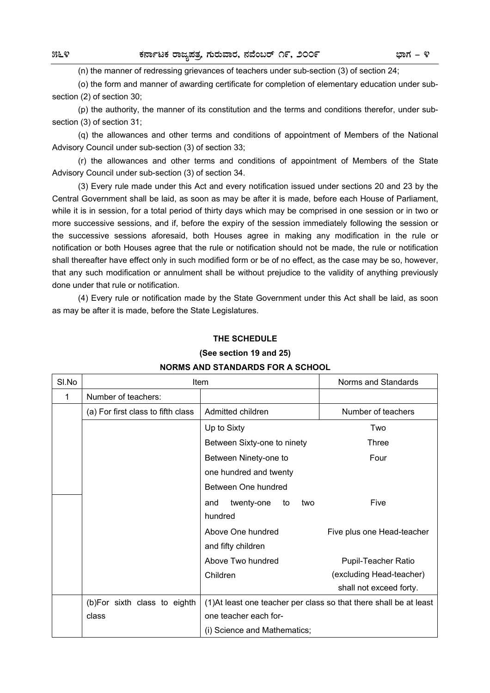(n) the manner of redressing grievances of teachers under sub-section (3) of section 24;

 (o) the form and manner of awarding certificate for completion of elementary education under subsection (2) of section 30;

 (p) the authority, the manner of its constitution and the terms and conditions therefor, under subsection (3) of section 31;

 (q) the allowances and other terms and conditions of appointment of Members of the National Advisory Council under sub-section (3) of section 33;

 (r) the allowances and other terms and conditions of appointment of Members of the State Advisory Council under sub-section (3) of section 34.

 (3) Every rule made under this Act and every notification issued under sections 20 and 23 by the Central Government shall be laid, as soon as may be after it is made, before each House of Parliament, while it is in session, for a total period of thirty days which may be comprised in one session or in two or more successive sessions, and if, before the expiry of the session immediately following the session or the successive sessions aforesaid, both Houses agree in making any modification in the rule or notification or both Houses agree that the rule or notification should not be made, the rule or notification shall thereafter have effect only in such modified form or be of no effect, as the case may be so, however, that any such modification or annulment shall be without prejudice to the validity of anything previously done under that rule or notification.

 (4) Every rule or notification made by the State Government under this Act shall be laid, as soon as may be after it is made, before the State Legislatures.

### **THE SCHEDULE**

#### **(See section 19 and 25)**

| SI.No | Item                               |                                | Norms and Standards                                                |
|-------|------------------------------------|--------------------------------|--------------------------------------------------------------------|
| 1     | Number of teachers:                |                                |                                                                    |
|       | (a) For first class to fifth class | Admitted children              | Number of teachers                                                 |
|       |                                    | Up to Sixty                    | Two                                                                |
|       |                                    | Between Sixty-one to ninety    | Three                                                              |
|       |                                    | Between Ninety-one to          | Four                                                               |
|       |                                    | one hundred and twenty         |                                                                    |
|       |                                    | Between One hundred            |                                                                    |
|       |                                    | twenty-one<br>and<br>to<br>two | Five                                                               |
|       |                                    | hundred                        |                                                                    |
|       |                                    | Above One hundred              | Five plus one Head-teacher                                         |
|       |                                    | and fifty children             |                                                                    |
|       |                                    | Above Two hundred              | Pupil-Teacher Ratio                                                |
|       |                                    | Children                       | (excluding Head-teacher)                                           |
|       |                                    |                                | shall not exceed forty.                                            |
|       | (b)For sixth class to eighth       |                                | (1) At least one teacher per class so that there shall be at least |
|       | class                              | one teacher each for-          |                                                                    |
|       |                                    | (i) Science and Mathematics;   |                                                                    |

### **NORMS AND STANDARDS FOR A SCHOOL**